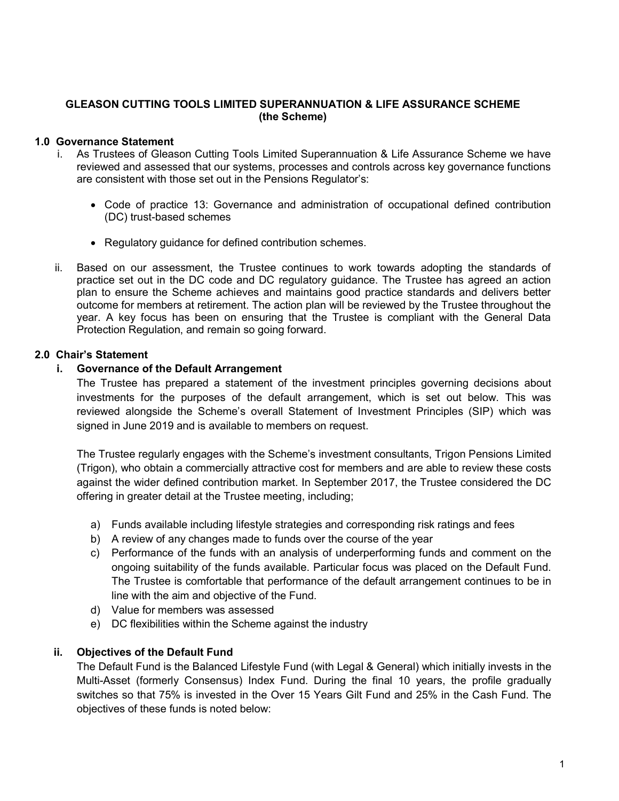# GLEASON CUTTING TOOLS LIMITED SUPERANNUATION & LIFE ASSURANCE SCHEME (the Scheme)

# 1.0 Governance Statement

- i. As Trustees of Gleason Cutting Tools Limited Superannuation & Life Assurance Scheme we have reviewed and assessed that our systems, processes and controls across key governance functions are consistent with those set out in the Pensions Regulator's:
	- Code of practice 13: Governance and administration of occupational defined contribution (DC) trust-based schemes
	- Regulatory guidance for defined contribution schemes.
- ii. Based on our assessment, the Trustee continues to work towards adopting the standards of practice set out in the DC code and DC regulatory guidance. The Trustee has agreed an action plan to ensure the Scheme achieves and maintains good practice standards and delivers better outcome for members at retirement. The action plan will be reviewed by the Trustee throughout the year. A key focus has been on ensuring that the Trustee is compliant with the General Data Protection Regulation, and remain so going forward.

## 2.0 Chair's Statement

## i. Governance of the Default Arrangement

The Trustee has prepared a statement of the investment principles governing decisions about investments for the purposes of the default arrangement, which is set out below. This was reviewed alongside the Scheme's overall Statement of Investment Principles (SIP) which was signed in June 2019 and is available to members on request.

The Trustee regularly engages with the Scheme's investment consultants, Trigon Pensions Limited (Trigon), who obtain a commercially attractive cost for members and are able to review these costs against the wider defined contribution market. In September 2017, the Trustee considered the DC offering in greater detail at the Trustee meeting, including;

- a) Funds available including lifestyle strategies and corresponding risk ratings and fees
- b) A review of any changes made to funds over the course of the year
- c) Performance of the funds with an analysis of underperforming funds and comment on the ongoing suitability of the funds available. Particular focus was placed on the Default Fund. The Trustee is comfortable that performance of the default arrangement continues to be in line with the aim and objective of the Fund.
- d) Value for members was assessed
- e) DC flexibilities within the Scheme against the industry

# ii. Objectives of the Default Fund

The Default Fund is the Balanced Lifestyle Fund (with Legal & General) which initially invests in the Multi-Asset (formerly Consensus) Index Fund. During the final 10 years, the profile gradually switches so that 75% is invested in the Over 15 Years Gilt Fund and 25% in the Cash Fund. The objectives of these funds is noted below: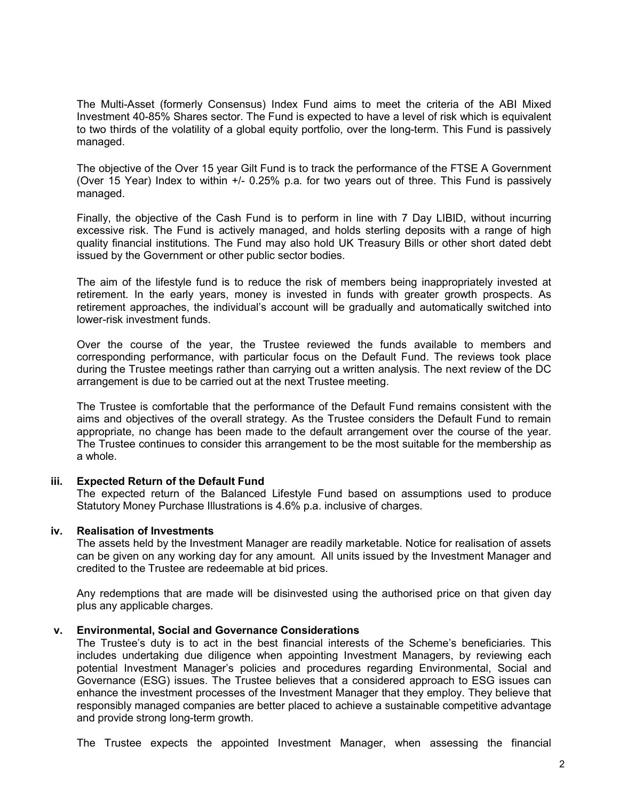The Multi-Asset (formerly Consensus) Index Fund aims to meet the criteria of the ABI Mixed Investment 40-85% Shares sector. The Fund is expected to have a level of risk which is equivalent to two thirds of the volatility of a global equity portfolio, over the long-term. This Fund is passively managed.

The objective of the Over 15 year Gilt Fund is to track the performance of the FTSE A Government (Over 15 Year) Index to within +/- 0.25% p.a. for two years out of three. This Fund is passively managed.

Finally, the objective of the Cash Fund is to perform in line with 7 Day LIBID, without incurring excessive risk. The Fund is actively managed, and holds sterling deposits with a range of high quality financial institutions. The Fund may also hold UK Treasury Bills or other short dated debt issued by the Government or other public sector bodies.

The aim of the lifestyle fund is to reduce the risk of members being inappropriately invested at retirement. In the early years, money is invested in funds with greater growth prospects. As retirement approaches, the individual's account will be gradually and automatically switched into lower-risk investment funds.

Over the course of the year, the Trustee reviewed the funds available to members and corresponding performance, with particular focus on the Default Fund. The reviews took place during the Trustee meetings rather than carrying out a written analysis. The next review of the DC arrangement is due to be carried out at the next Trustee meeting.

The Trustee is comfortable that the performance of the Default Fund remains consistent with the aims and objectives of the overall strategy. As the Trustee considers the Default Fund to remain appropriate, no change has been made to the default arrangement over the course of the year. The Trustee continues to consider this arrangement to be the most suitable for the membership as a whole.

### iii. Expected Return of the Default Fund

The expected return of the Balanced Lifestyle Fund based on assumptions used to produce Statutory Money Purchase Illustrations is 4.6% p.a. inclusive of charges.

#### iv. Realisation of Investments

The assets held by the Investment Manager are readily marketable. Notice for realisation of assets can be given on any working day for any amount. All units issued by the Investment Manager and credited to the Trustee are redeemable at bid prices.

Any redemptions that are made will be disinvested using the authorised price on that given day plus any applicable charges.

#### v. Environmental, Social and Governance Considerations

The Trustee's duty is to act in the best financial interests of the Scheme's beneficiaries. This includes undertaking due diligence when appointing Investment Managers, by reviewing each potential Investment Manager's policies and procedures regarding Environmental, Social and Governance (ESG) issues. The Trustee believes that a considered approach to ESG issues can enhance the investment processes of the Investment Manager that they employ. They believe that responsibly managed companies are better placed to achieve a sustainable competitive advantage and provide strong long-term growth.

The Trustee expects the appointed Investment Manager, when assessing the financial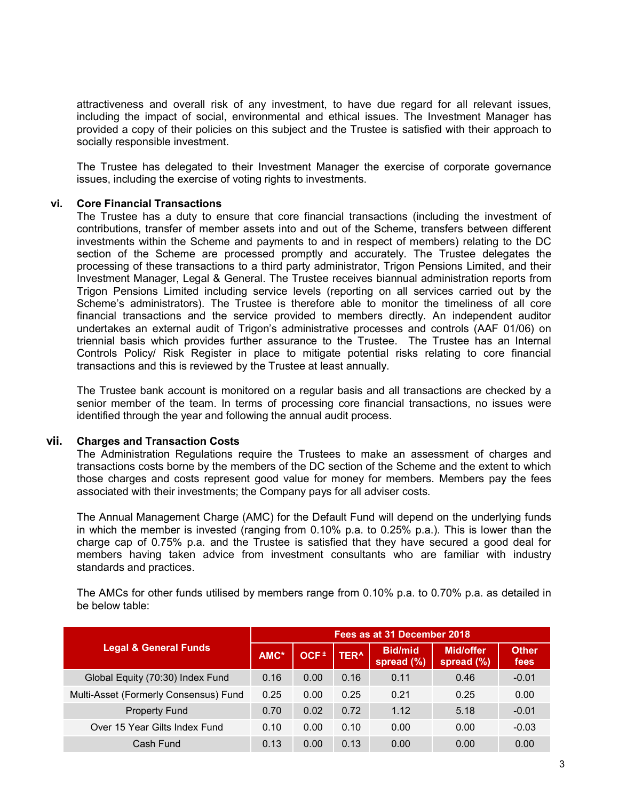attractiveness and overall risk of any investment, to have due regard for all relevant issues, including the impact of social, environmental and ethical issues. The Investment Manager has provided a copy of their policies on this subject and the Trustee is satisfied with their approach to socially responsible investment.

The Trustee has delegated to their Investment Manager the exercise of corporate governance issues, including the exercise of voting rights to investments.

### vi. Core Financial Transactions

The Trustee has a duty to ensure that core financial transactions (including the investment of contributions, transfer of member assets into and out of the Scheme, transfers between different investments within the Scheme and payments to and in respect of members) relating to the DC section of the Scheme are processed promptly and accurately. The Trustee delegates the processing of these transactions to a third party administrator, Trigon Pensions Limited, and their Investment Manager, Legal & General. The Trustee receives biannual administration reports from Trigon Pensions Limited including service levels (reporting on all services carried out by the Scheme's administrators). The Trustee is therefore able to monitor the timeliness of all core financial transactions and the service provided to members directly. An independent auditor undertakes an external audit of Trigon's administrative processes and controls (AAF 01/06) on triennial basis which provides further assurance to the Trustee. The Trustee has an Internal Controls Policy/ Risk Register in place to mitigate potential risks relating to core financial transactions and this is reviewed by the Trustee at least annually.

The Trustee bank account is monitored on a regular basis and all transactions are checked by a senior member of the team. In terms of processing core financial transactions, no issues were identified through the year and following the annual audit process.

### vii. Charges and Transaction Costs

The Administration Regulations require the Trustees to make an assessment of charges and transactions costs borne by the members of the DC section of the Scheme and the extent to which those charges and costs represent good value for money for members. Members pay the fees associated with their investments; the Company pays for all adviser costs.

The Annual Management Charge (AMC) for the Default Fund will depend on the underlying funds in which the member is invested (ranging from 0.10% p.a. to 0.25% p.a.). This is lower than the charge cap of 0.75% p.a. and the Trustee is satisfied that they have secured a good deal for members having taken advice from investment consultants who are familiar with industry standards and practices.

The AMCs for other funds utilised by members range from 0.10% p.a. to 0.70% p.a. as detailed in be below table:

|                                       | Fees as at 31 December 2018 |             |             |                              |                            |                      |  |
|---------------------------------------|-----------------------------|-------------|-------------|------------------------------|----------------------------|----------------------|--|
| <b>Legal &amp; General Funds</b>      | AMC*                        | $OCF^{\pm}$ | <b>TER^</b> | <b>Bid/mid</b><br>spread (%) | Mid/offer<br>spread $(\%)$ | <b>Other</b><br>fees |  |
| Global Equity (70:30) Index Fund      | 0.16                        | 0.00        | 0.16        | 0.11                         | 0.46                       | $-0.01$              |  |
| Multi-Asset (Formerly Consensus) Fund | 0.25                        | 0.00        | 0.25        | 0.21                         | 0.25                       | 0.00                 |  |
| <b>Property Fund</b>                  | 0.70                        | 0.02        | 0.72        | 1.12                         | 5.18                       | $-0.01$              |  |
| Over 15 Year Gilts Index Fund         | 0.10                        | 0.00        | 0.10        | 0.00                         | 0.00                       | $-0.03$              |  |
| Cash Fund                             | 0.13                        | 0.00        | 0.13        | 0.00                         | 0.00                       | 0.00                 |  |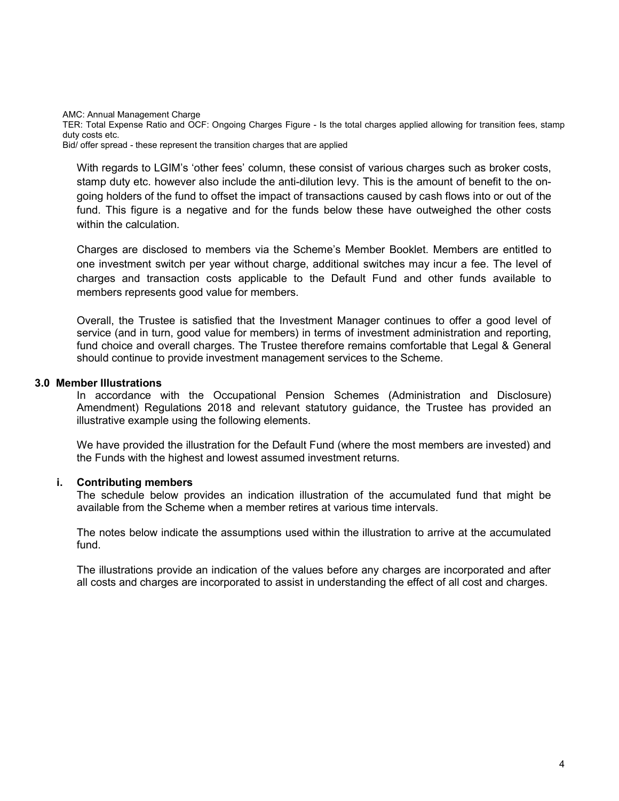AMC: Annual Management Charge

TER: Total Expense Ratio and OCF: Ongoing Charges Figure - Is the total charges applied allowing for transition fees, stamp duty costs etc.

Bid/ offer spread - these represent the transition charges that are applied

With regards to LGIM's 'other fees' column, these consist of various charges such as broker costs, stamp duty etc. however also include the anti-dilution levy. This is the amount of benefit to the ongoing holders of the fund to offset the impact of transactions caused by cash flows into or out of the fund. This figure is a negative and for the funds below these have outweighed the other costs within the calculation.

Charges are disclosed to members via the Scheme's Member Booklet. Members are entitled to one investment switch per year without charge, additional switches may incur a fee. The level of charges and transaction costs applicable to the Default Fund and other funds available to members represents good value for members.

Overall, the Trustee is satisfied that the Investment Manager continues to offer a good level of service (and in turn, good value for members) in terms of investment administration and reporting, fund choice and overall charges. The Trustee therefore remains comfortable that Legal & General should continue to provide investment management services to the Scheme.

### 3.0 Member Illustrations

In accordance with the Occupational Pension Schemes (Administration and Disclosure) Amendment) Regulations 2018 and relevant statutory guidance, the Trustee has provided an illustrative example using the following elements.

We have provided the illustration for the Default Fund (where the most members are invested) and the Funds with the highest and lowest assumed investment returns.

### i. Contributing members

The schedule below provides an indication illustration of the accumulated fund that might be available from the Scheme when a member retires at various time intervals.

The notes below indicate the assumptions used within the illustration to arrive at the accumulated fund.

The illustrations provide an indication of the values before any charges are incorporated and after all costs and charges are incorporated to assist in understanding the effect of all cost and charges.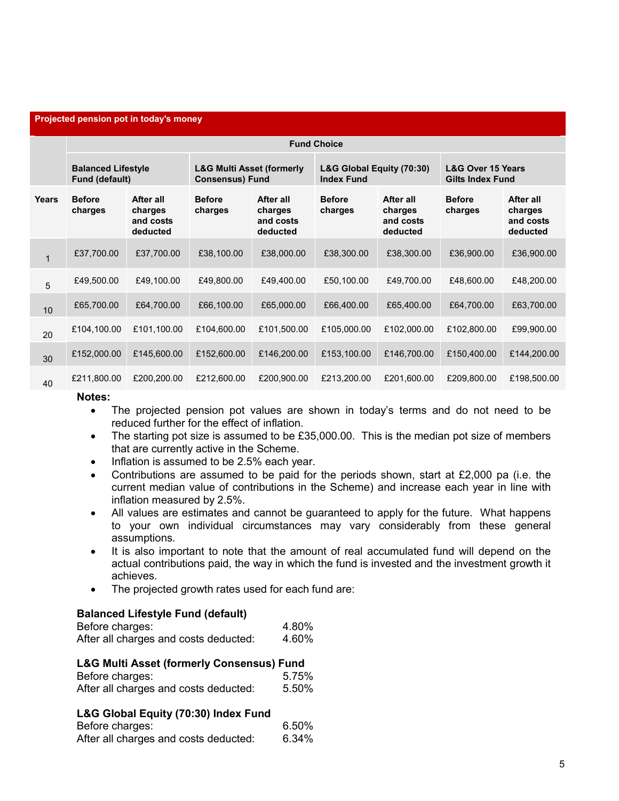#### Projected pension pot in today's money

|              | <b>Fund Choice</b>                          |                                               |                                                                |                                               |                                                |                                               |                                                         |                                               |
|--------------|---------------------------------------------|-----------------------------------------------|----------------------------------------------------------------|-----------------------------------------------|------------------------------------------------|-----------------------------------------------|---------------------------------------------------------|-----------------------------------------------|
|              | <b>Balanced Lifestyle</b><br>Fund (default) |                                               | <b>L&amp;G Multi Asset (formerly</b><br><b>Consensus) Fund</b> |                                               | L&G Global Equity (70:30)<br><b>Index Fund</b> |                                               | <b>L&amp;G Over 15 Years</b><br><b>Gilts Index Fund</b> |                                               |
| <b>Years</b> | <b>Before</b><br>charges                    | After all<br>charges<br>and costs<br>deducted | <b>Before</b><br>charges                                       | After all<br>charges<br>and costs<br>deducted | <b>Before</b><br>charges                       | After all<br>charges<br>and costs<br>deducted | <b>Before</b><br>charges                                | After all<br>charges<br>and costs<br>deducted |
| $\mathbf{1}$ | £37,700.00                                  | £37,700.00                                    | £38,100.00                                                     | £38,000.00                                    | £38,300.00                                     | £38,300.00                                    | £36,900.00                                              | £36,900.00                                    |
| 5            | £49,500.00                                  | £49,100.00                                    | £49,800.00                                                     | £49,400.00                                    | £50,100.00                                     | £49,700.00                                    | £48,600.00                                              | £48,200.00                                    |
| 10           | £65,700.00                                  | £64,700.00                                    | £66,100.00                                                     | £65,000.00                                    | £66,400.00                                     | £65,400.00                                    | £64,700.00                                              | £63,700.00                                    |
| 20           | £104,100.00                                 | £101,100.00                                   | £104,600.00                                                    | £101,500.00                                   | £105,000.00                                    | £102,000.00                                   | £102,800.00                                             | £99,900.00                                    |
| 30           | £152,000.00                                 | £145,600.00                                   | £152,600.00                                                    | £146,200.00                                   | £153,100.00                                    | £146,700.00                                   | £150,400.00                                             | £144,200.00                                   |
| 40           | £211,800.00                                 | £200,200.00                                   | £212,600.00                                                    | £200,900.00                                   | £213,200.00                                    | £201,600.00                                   | £209,800.00                                             | £198,500.00                                   |

#### Notes:

- The projected pension pot values are shown in today's terms and do not need to be reduced further for the effect of inflation.
- The starting pot size is assumed to be £35,000.00. This is the median pot size of members that are currently active in the Scheme.
- Inflation is assumed to be 2.5% each year.
- Contributions are assumed to be paid for the periods shown, start at £2,000 pa (i.e. the current median value of contributions in the Scheme) and increase each year in line with inflation measured by 2.5%.
- All values are estimates and cannot be guaranteed to apply for the future. What happens to your own individual circumstances may vary considerably from these general assumptions.
- It is also important to note that the amount of real accumulated fund will depend on the actual contributions paid, the way in which the fund is invested and the investment growth it achieves.
- The projected growth rates used for each fund are:

### Balanced Lifestyle Fund (default)

| Before charges:                       | 4.80% |
|---------------------------------------|-------|
| After all charges and costs deducted: | 4.60% |

### L&G Multi Asset (formerly Consensus) Fund

| Before charges:                       | 5.75% |
|---------------------------------------|-------|
| After all charges and costs deducted: | 5.50% |

#### L&G Global Equity (70:30) Index Fund

| Before charges:                       | 6.50% |
|---------------------------------------|-------|
| After all charges and costs deducted: | 6.34% |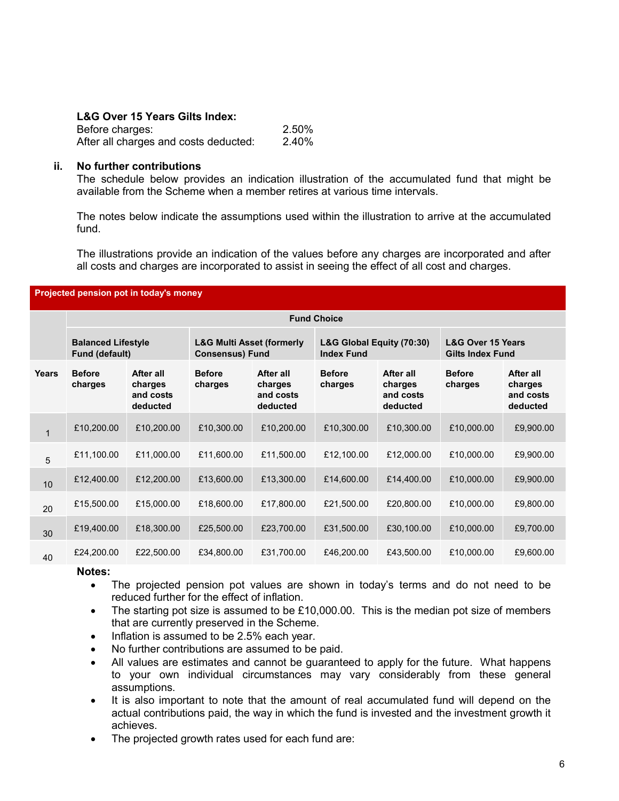# L&G Over 15 Years Gilts Index:

| Before charges:                       | 2.50% |
|---------------------------------------|-------|
| After all charges and costs deducted: | 2.40% |

### ii. No further contributions

The schedule below provides an indication illustration of the accumulated fund that might be available from the Scheme when a member retires at various time intervals.

The notes below indicate the assumptions used within the illustration to arrive at the accumulated fund.

The illustrations provide an indication of the values before any charges are incorporated and after all costs and charges are incorporated to assist in seeing the effect of all cost and charges.

| Projected pension pot in today's money |                                             |                                               |                                                                |                                               |                                                |                                               |                                                         |                                               |
|----------------------------------------|---------------------------------------------|-----------------------------------------------|----------------------------------------------------------------|-----------------------------------------------|------------------------------------------------|-----------------------------------------------|---------------------------------------------------------|-----------------------------------------------|
|                                        | <b>Fund Choice</b>                          |                                               |                                                                |                                               |                                                |                                               |                                                         |                                               |
|                                        | <b>Balanced Lifestyle</b><br>Fund (default) |                                               | <b>L&amp;G Multi Asset (formerly</b><br><b>Consensus) Fund</b> |                                               | L&G Global Equity (70:30)<br><b>Index Fund</b> |                                               | <b>L&amp;G Over 15 Years</b><br><b>Gilts Index Fund</b> |                                               |
| <b>Years</b>                           | <b>Before</b><br>charges                    | After all<br>charges<br>and costs<br>deducted | <b>Before</b><br>charges                                       | After all<br>charges<br>and costs<br>deducted | <b>Before</b><br>charges                       | After all<br>charges<br>and costs<br>deducted | <b>Before</b><br>charges                                | After all<br>charges<br>and costs<br>deducted |
| $\mathbf{1}$                           | £10,200.00                                  | £10,200.00                                    | £10,300.00                                                     | £10,200.00                                    | £10,300.00                                     | £10,300.00                                    | £10,000.00                                              | £9,900.00                                     |
| 5                                      | £11,100.00                                  | £11,000.00                                    | £11,600.00                                                     | £11,500.00                                    | £12,100.00                                     | £12,000.00                                    | £10,000.00                                              | £9,900.00                                     |
| 10                                     | £12,400.00                                  | £12,200.00                                    | £13,600.00                                                     | £13,300.00                                    | £14,600.00                                     | £14,400.00                                    | £10,000.00                                              | £9,900.00                                     |
| 20                                     | £15,500.00                                  | £15,000.00                                    | £18,600.00                                                     | £17,800.00                                    | £21,500.00                                     | £20,800.00                                    | £10,000.00                                              | £9,800.00                                     |
| 30                                     | £19,400.00                                  | £18,300.00                                    | £25,500.00                                                     | £23,700.00                                    | £31,500.00                                     | £30,100.00                                    | £10,000.00                                              | £9,700.00                                     |
| 40                                     | £24,200.00                                  | £22,500.00                                    | £34,800.00                                                     | £31,700.00                                    | £46,200.00                                     | £43,500.00                                    | £10,000.00                                              | £9,600.00                                     |

#### Notes:

- The projected pension pot values are shown in today's terms and do not need to be reduced further for the effect of inflation.
- $\bullet$  The starting pot size is assumed to be £10,000.00. This is the median pot size of members that are currently preserved in the Scheme.
- $\bullet$  Inflation is assumed to be 2.5% each year.
- No further contributions are assumed to be paid.
- All values are estimates and cannot be guaranteed to apply for the future. What happens to your own individual circumstances may vary considerably from these general assumptions.
- It is also important to note that the amount of real accumulated fund will depend on the actual contributions paid, the way in which the fund is invested and the investment growth it achieves.
- The projected growth rates used for each fund are: